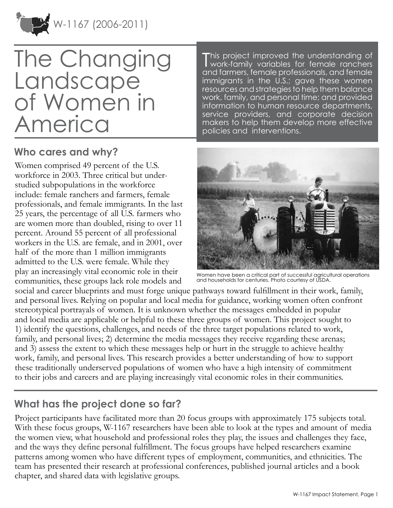

# The Changing Landscape of Women in America

## **Who cares and why?**

Women comprised 49 percent of the U.S. workforce in 2003. Three critical but understudied subpopulations in the workforce include: female ranchers and farmers, female professionals, and female immigrants. In the last 25 years, the percentage of all U.S. farmers who are women more than doubled, rising to over 11 percent. Around 55 percent of all professional workers in the U.S. are female, and in 2001, over half of the more than 1 million immigrants admitted to the U.S. were female. While they play an increasingly vital economic role in their communities, these groups lack role models and

This project improved the understanding of<br>Work-family variables for female ranchers This project improved the understanding of and farmers, female professionals, and female immigrants in the U.S.; gave these women resources and strategies to help them balance work, family, and personal time; and provided information to human resource departments, service providers, and corporate decision makers to help them develop more effective policies and interventions.



Women have been a critical part of successful agricultural operations and households for centuries. Photo courtesy of USDA.

social and career blueprints and must forge unique pathways toward fulfillment in their work, family, and personal lives. Relying on popular and local media for guidance, working women often confront stereotypical portrayals of women. It is unknown whether the messages embedded in popular and local media are applicable or helpful to these three groups of women. This project sought to 1) identify the questions, challenges, and needs of the three target populations related to work, family, and personal lives; 2) determine the media messages they receive regarding these arenas; and 3) assess the extent to which these messages help or hurt in the struggle to achieve healthy work, family, and personal lives. This research provides a better understanding of how to support these traditionally underserved populations of women who have a high intensity of commitment to their jobs and careers and are playing increasingly vital economic roles in their communities.

## **What has the project done so far?**

Project participants have facilitated more than 20 focus groups with approximately 175 subjects total. With these focus groups, W-1167 researchers have been able to look at the types and amount of media the women view, what household and professional roles they play, the issues and challenges they face, and the ways they define personal fulfillment. The focus groups have helped researchers examine patterns among women who have different types of employment, communities, and ethnicities. The team has presented their research at professional conferences, published journal articles and a book chapter, and shared data with legislative groups.